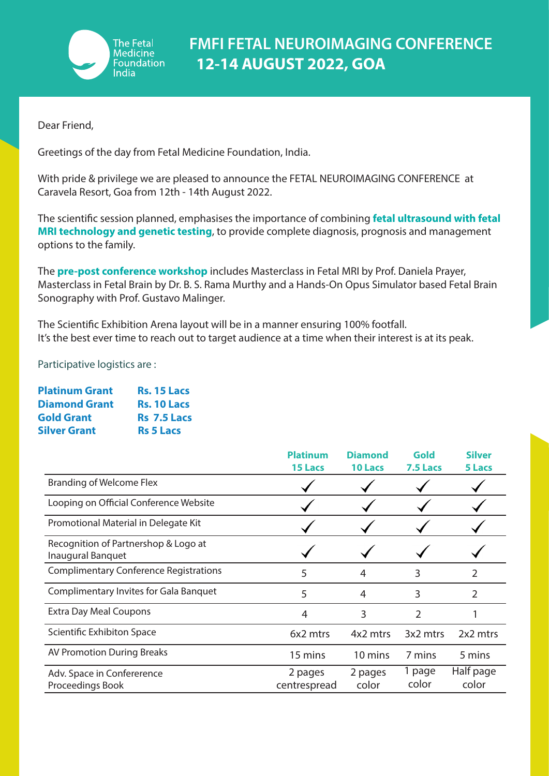

Dear Friend,

Greetings of the day from Fetal Medicine Foundation, India.

With pride & privilege we are pleased to announce the FETAL NEUROIMAGING CONFERENCE at Caravela Resort, Goa from 12th - 14th August 2022.

The scientific session planned, emphasises the importance of combining **fetal ultrasound with fetal MRI technology and genetic testing**, to provide complete diagnosis, prognosis and management options to the family.

The **pre-post conference workshop** includes Masterclass in Fetal MRI by Prof. Daniela Prayer, Masterclass in Fetal Brain by Dr. B. S. Rama Murthy and a Hands-On Opus Simulator based Fetal Brain Sonography with Prof. Gustavo Malinger.

The Scientific Exhibition Arena layout will be in a manner ensuring 100% footfall. It's the best ever time to reach out to target audience at a time when their interest is at its peak.

Participative logistics are :

| <b>Platinum Grant</b> | <b>Rs. 15 Lacs</b> |
|-----------------------|--------------------|
| <b>Diamond Grant</b>  | <b>Rs. 10 Lacs</b> |
| <b>Gold Grant</b>     | <b>Rs</b> 7.5 Lacs |
| <b>Silver Grant</b>   | <b>Rs 5 Lacs</b>   |

|                                                           | <b>Platinum</b><br><b>15 Lacs</b> | <b>Diamond</b><br>10 Lacs | Gold<br>7.5 Lacs | <b>Silver</b><br>5 Lacs |
|-----------------------------------------------------------|-----------------------------------|---------------------------|------------------|-------------------------|
| <b>Branding of Welcome Flex</b>                           |                                   |                           |                  |                         |
| Looping on Official Conference Website                    |                                   |                           |                  |                         |
| Promotional Material in Delegate Kit                      |                                   |                           |                  |                         |
| Recognition of Partnershop & Logo at<br>Inaugural Banquet |                                   |                           |                  |                         |
| <b>Complimentary Conference Registrations</b>             | 5                                 | 4                         | 3                | 2                       |
| Complimentary Invites for Gala Banquet                    | 5                                 | 4                         | 3                | 2                       |
| <b>Extra Day Meal Coupons</b>                             | 4                                 | 3                         | 2                |                         |
| Scientific Exhibiton Space                                | 6x2 mtrs                          | 4x2 mtrs                  | 3x2 mtrs         | 2x2 mtrs                |
| <b>AV Promotion During Breaks</b>                         | 15 mins                           | 10 mins                   | 7 mins           | 5 mins                  |
| Adv. Space in Confererence<br>Proceedings Book            | 2 pages<br>centrespread           | 2 pages<br>color          | 1 page<br>color  | Half page<br>color      |